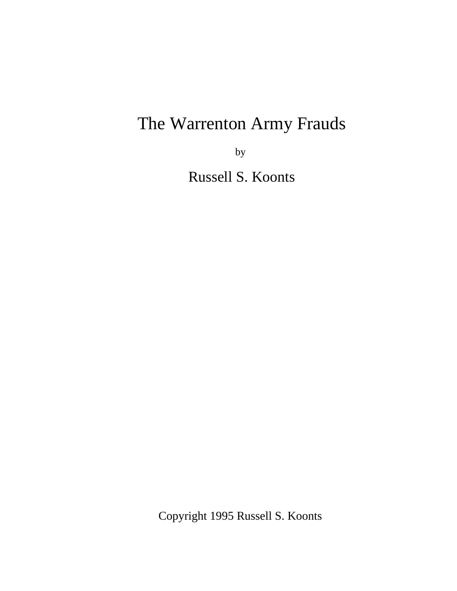by

Russell S. Koonts

Copyright 1995 Russell S. Koonts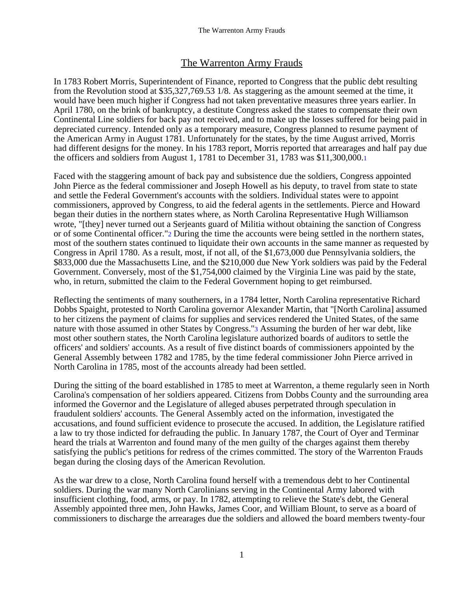In 1783 Robert Morris, Superintendent of Finance, reported to Congress that the public debt resulting from the Revolution stood at \$35,327,769.53 1/8. As staggering as the amount seemed at the time, it would have been much higher if Congress had not taken preventative measures three years earlier. In April 1780, on the brink of bankruptcy, a destitute Congress asked the states to compensate their own Continental Line soldiers for back pay not received, and to make up the losses suffered for being paid in depreciated currency. Intended only as a temporary measure, Congress planned to resume payment of the American Army in August 1781. Unfortunately for the states, by the time August arrived, Morris had different designs for the money. In his 1783 report, Morris reported that arrearages and half pay due the officers and soldiers from August 1, 1781 to December 31, 1783 was \$11,300,000.1

Faced with the staggering amount of back pay and subsistence due the soldiers, Congress appointed John Pierce as the federal commissioner and Joseph Howell as his deputy, to travel from state to state and settle the Federal Government's accounts with the soldiers. Individual states were to appoint commissioners, approved by Congress, to aid the federal agents in the settlements. Pierce and Howard began their duties in the northern states where, as North Carolina Representative Hugh Williamson wrote, "[they] never turned out a Serjeants guard of Militia without obtaining the sanction of Congress or of some Continental officer."2 During the time the accounts were being settled in the northern states, most of the southern states continued to liquidate their own accounts in the same manner as requested by Congress in April 1780. As a result, most, if not all, of the \$1,673,000 due Pennsylvania soldiers, the \$833,000 due the Massachusetts Line, and the \$210,000 due New York soldiers was paid by the Federal Government. Conversely, most of the \$1,754,000 claimed by the Virginia Line was paid by the state, who, in return, submitted the claim to the Federal Government hoping to get reimbursed.

Reflecting the sentiments of many southerners, in a 1784 letter, North Carolina representative Richard Dobbs Spaight, protested to North Carolina governor Alexander Martin, that "[North Carolina] assumed to her citizens the payment of claims for supplies and services rendered the United States, of the same nature with those assumed in other States by Congress."3 Assuming the burden of her war debt, like most other southern states, the North Carolina legislature authorized boards of auditors to settle the officers' and soldiers' accounts. As a result of five distinct boards of commissioners appointed by the General Assembly between 1782 and 1785, by the time federal commissioner John Pierce arrived in North Carolina in 1785, most of the accounts already had been settled.

During the sitting of the board established in 1785 to meet at Warrenton, a theme regularly seen in North Carolina's compensation of her soldiers appeared. Citizens from Dobbs County and the surrounding area informed the Governor and the Legislature of alleged abuses perpetrated through speculation in fraudulent soldiers' accounts. The General Assembly acted on the information, investigated the accusations, and found sufficient evidence to prosecute the accused. In addition, the Legislature ratified a law to try those indicted for defrauding the public. In January 1787, the Court of Oyer and Terminar heard the trials at Warrenton and found many of the men guilty of the charges against them thereby satisfying the public's petitions for redress of the crimes committed. The story of the Warrenton Frauds began during the closing days of the American Revolution.

As the war drew to a close, North Carolina found herself with a tremendous debt to her Continental soldiers. During the war many North Carolinians serving in the Continental Army labored with insufficient clothing, food, arms, or pay. In 1782, attempting to relieve the State's debt, the General Assembly appointed three men, John Hawks, James Coor, and William Blount, to serve as a board of commissioners to discharge the arrearages due the soldiers and allowed the board members twenty-four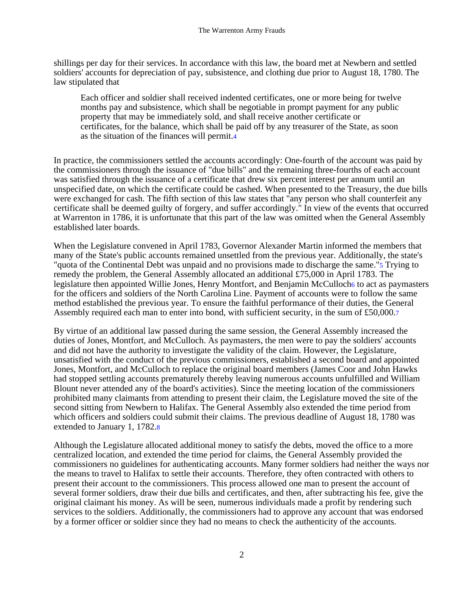shillings per day for their services. In accordance with this law, the board met at Newbern and settled soldiers' accounts for depreciation of pay, subsistence, and clothing due prior to August 18, 1780. The law stipulated that

Each officer and soldier shall received indented certificates, one or more being for twelve months pay and subsistence, which shall be negotiable in prompt payment for any public property that may be immediately sold, and shall receive another certificate or certificates, for the balance, which shall be paid off by any treasurer of the State, as soon as the situation of the finances will permit.4

In practice, the commissioners settled the accounts accordingly: One-fourth of the account was paid by the commissioners through the issuance of "due bills" and the remaining three-fourths of each account was satisfied through the issuance of a certificate that drew six percent interest per annum until an unspecified date, on which the certificate could be cashed. When presented to the Treasury, the due bills were exchanged for cash. The fifth section of this law states that "any person who shall counterfeit any certificate shall be deemed guilty of forgery, and suffer accordingly." In view of the events that occurred at Warrenton in 1786, it is unfortunate that this part of the law was omitted when the General Assembly established later boards.

When the Legislature convened in April 1783, Governor Alexander Martin informed the members that many of the State's public accounts remained unsettled from the previous year. Additionally, the state's "quota of the Continental Debt was unpaid and no provisions made to discharge the same."5 Trying to remedy the problem, the General Assembly allocated an additional £75,000 in April 1783. The legislature then appointed Willie Jones, Henry Montfort, and Benjamin McCulloch6 to act as paymasters for the officers and soldiers of the North Carolina Line. Payment of accounts were to follow the same method established the previous year. To ensure the faithful performance of their duties, the General Assembly required each man to enter into bond, with sufficient security, in the sum of £50,000.7

By virtue of an additional law passed during the same session, the General Assembly increased the duties of Jones, Montfort, and McCulloch. As paymasters, the men were to pay the soldiers' accounts and did not have the authority to investigate the validity of the claim. However, the Legislature, unsatisfied with the conduct of the previous commissioners, established a second board and appointed Jones, Montfort, and McCulloch to replace the original board members (James Coor and John Hawks had stopped settling accounts prematurely thereby leaving numerous accounts unfulfilled and William Blount never attended any of the board's activities). Since the meeting location of the commissioners prohibited many claimants from attending to present their claim, the Legislature moved the site of the second sitting from Newbern to Halifax. The General Assembly also extended the time period from which officers and soldiers could submit their claims. The previous deadline of August 18, 1780 was extended to January 1, 1782.8

Although the Legislature allocated additional money to satisfy the debts, moved the office to a more centralized location, and extended the time period for claims, the General Assembly provided the commissioners no guidelines for authenticating accounts. Many former soldiers had neither the ways nor the means to travel to Halifax to settle their accounts. Therefore, they often contracted with others to present their account to the commissioners. This process allowed one man to present the account of several former soldiers, draw their due bills and certificates, and then, after subtracting his fee, give the original claimant his money. As will be seen, numerous individuals made a profit by rendering such services to the soldiers. Additionally, the commissioners had to approve any account that was endorsed by a former officer or soldier since they had no means to check the authenticity of the accounts.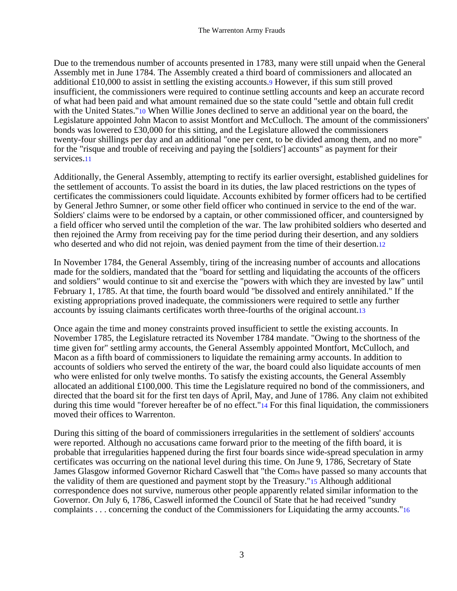Due to the tremendous number of accounts presented in 1783, many were still unpaid when the General Assembly met in June 1784. The Assembly created a third board of commissioners and allocated an additional £10,000 to assist in settling the existing accounts.9 However, if this sum still proved insufficient, the commissioners were required to continue settling accounts and keep an accurate record of what had been paid and what amount remained due so the state could "settle and obtain full credit with the United States."10 When Willie Jones declined to serve an additional year on the board, the Legislature appointed John Macon to assist Montfort and McCulloch. The amount of the commissioners' bonds was lowered to £30,000 for this sitting, and the Legislature allowed the commissioners twenty-four shillings per day and an additional "one per cent, to be divided among them, and no more" for the "risque and trouble of receiving and paying the [soldiers'] accounts" as payment for their services.11

Additionally, the General Assembly, attempting to rectify its earlier oversight, established guidelines for the settlement of accounts. To assist the board in its duties, the law placed restrictions on the types of certificates the commissioners could liquidate. Accounts exhibited by former officers had to be certified by General Jethro Sumner, or some other field officer who continued in service to the end of the war. Soldiers' claims were to be endorsed by a captain, or other commissioned officer, and countersigned by a field officer who served until the completion of the war. The law prohibited soldiers who deserted and then rejoined the Army from receiving pay for the time period during their desertion, and any soldiers who deserted and who did not rejoin, was denied payment from the time of their desertion.12

In November 1784, the General Assembly, tiring of the increasing number of accounts and allocations made for the soldiers, mandated that the "board for settling and liquidating the accounts of the officers and soldiers" would continue to sit and exercise the "powers with which they are invested by law" until February 1, 1785. At that time, the fourth board would "be dissolved and entirely annihilated." If the existing appropriations proved inadequate, the commissioners were required to settle any further accounts by issuing claimants certificates worth three-fourths of the original account.13

Once again the time and money constraints proved insufficient to settle the existing accounts. In November 1785, the Legislature retracted its November 1784 mandate. "Owing to the shortness of the time given for" settling army accounts, the General Assembly appointed Montfort, McCulloch, and Macon as a fifth board of commissioners to liquidate the remaining army accounts. In addition to accounts of soldiers who served the entirety of the war, the board could also liquidate accounts of men who were enlisted for only twelve months. To satisfy the existing accounts, the General Assembly allocated an additional £100,000. This time the Legislature required no bond of the commissioners, and directed that the board sit for the first ten days of April, May, and June of 1786. Any claim not exhibited during this time would "forever hereafter be of no effect."14 For this final liquidation, the commissioners moved their offices to Warrenton.

During this sitting of the board of commissioners irregularities in the settlement of soldiers' accounts were reported. Although no accusations came forward prior to the meeting of the fifth board, it is probable that irregularities happened during the first four boards since wide-spread speculation in army certificates was occurring on the national level during this time. On June 9, 1786, Secretary of State James Glasgow informed Governor Richard Caswell that "the Comrs have passed so many accounts that the validity of them are questioned and payment stopt by the Treasury."15 Although additional correspondence does not survive, numerous other people apparently related similar information to the Governor. On July 6, 1786, Caswell informed the Council of State that he had received "sundry complaints . . . concerning the conduct of the Commissioners for Liquidating the army accounts."16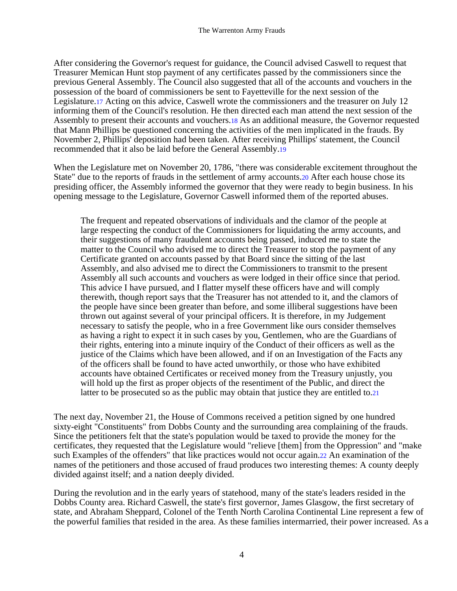After considering the Governor's request for guidance, the Council advised Caswell to request that Treasurer Memican Hunt stop payment of any certificates passed by the commissioners since the previous General Assembly. The Council also suggested that all of the accounts and vouchers in the possession of the board of commissioners be sent to Fayetteville for the next session of the Legislature.17 Acting on this advice, Caswell wrote the commissioners and the treasurer on July 12 informing them of the Council's resolution. He then directed each man attend the next session of the Assembly to present their accounts and vouchers.18 As an additional measure, the Governor requested that Mann Phillips be questioned concerning the activities of the men implicated in the frauds. By November 2, Phillips' deposition had been taken. After receiving Phillips' statement, the Council recommended that it also be laid before the General Assembly.19

When the Legislature met on November 20, 1786, "there was considerable excitement throughout the State" due to the reports of frauds in the settlement of army accounts.20 After each house chose its presiding officer, the Assembly informed the governor that they were ready to begin business. In his opening message to the Legislature, Governor Caswell informed them of the reported abuses.

The frequent and repeated observations of individuals and the clamor of the people at large respecting the conduct of the Commissioners for liquidating the army accounts, and their suggestions of many fraudulent accounts being passed, induced me to state the matter to the Council who advised me to direct the Treasurer to stop the payment of any Certificate granted on accounts passed by that Board since the sitting of the last Assembly, and also advised me to direct the Commissioners to transmit to the present Assembly all such accounts and vouchers as were lodged in their office since that period. This advice I have pursued, and I flatter myself these officers have and will comply therewith, though report says that the Treasurer has not attended to it, and the clamors of the people have since been greater than before, and some illiberal suggestions have been thrown out against several of your principal officers. It is therefore, in my Judgement necessary to satisfy the people, who in a free Government like ours consider themselves as having a right to expect it in such cases by you, Gentlemen, who are the Guardians of their rights, entering into a minute inquiry of the Conduct of their officers as well as the justice of the Claims which have been allowed, and if on an Investigation of the Facts any of the officers shall be found to have acted unworthily, or those who have exhibited accounts have obtained Certificates or received money from the Treasury unjustly, you will hold up the first as proper objects of the resentiment of the Public, and direct the latter to be prosecuted so as the public may obtain that justice they are entitled to.21

The next day, November 21, the House of Commons received a petition signed by one hundred sixty-eight "Constituents" from Dobbs County and the surrounding area complaining of the frauds. Since the petitioners felt that the state's population would be taxed to provide the money for the certificates, they requested that the Legislature would "relieve [them] from the Oppression" and "make such Examples of the offenders" that like practices would not occur again.22 An examination of the names of the petitioners and those accused of fraud produces two interesting themes: A county deeply divided against itself; and a nation deeply divided.

During the revolution and in the early years of statehood, many of the state's leaders resided in the Dobbs County area. Richard Caswell, the state's first governor, James Glasgow, the first secretary of state, and Abraham Sheppard, Colonel of the Tenth North Carolina Continental Line represent a few of the powerful families that resided in the area. As these families intermarried, their power increased. As a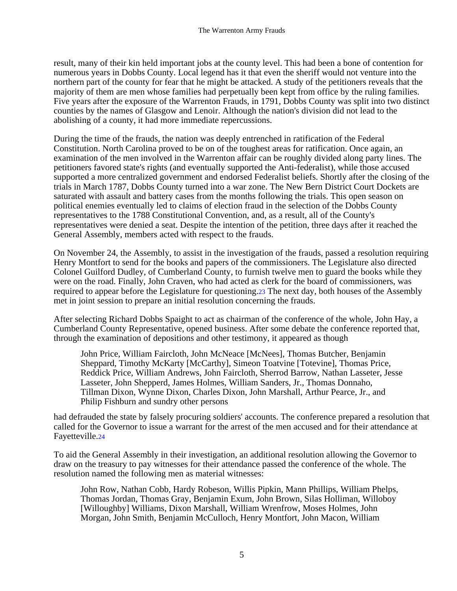result, many of their kin held important jobs at the county level. This had been a bone of contention for numerous years in Dobbs County. Local legend has it that even the sheriff would not venture into the northern part of the county for fear that he might be attacked. A study of the petitioners reveals that the majority of them are men whose families had perpetually been kept from office by the ruling families. Five years after the exposure of the Warrenton Frauds, in 1791, Dobbs County was split into two distinct counties by the names of Glasgow and Lenoir. Although the nation's division did not lead to the abolishing of a county, it had more immediate repercussions.

During the time of the frauds, the nation was deeply entrenched in ratification of the Federal Constitution. North Carolina proved to be on of the toughest areas for ratification. Once again, an examination of the men involved in the Warrenton affair can be roughly divided along party lines. The petitioners favored state's rights (and eventually supported the Anti-federalist), while those accused supported a more centralized government and endorsed Federalist beliefs. Shortly after the closing of the trials in March 1787, Dobbs County turned into a war zone. The New Bern District Court Dockets are saturated with assault and battery cases from the months following the trials. This open season on political enemies eventually led to claims of election fraud in the selection of the Dobbs County representatives to the 1788 Constitutional Convention, and, as a result, all of the County's representatives were denied a seat. Despite the intention of the petition, three days after it reached the General Assembly, members acted with respect to the frauds.

On November 24, the Assembly, to assist in the investigation of the frauds, passed a resolution requiring Henry Montfort to send for the books and papers of the commissioners. The Legislature also directed Colonel Guilford Dudley, of Cumberland County, to furnish twelve men to guard the books while they were on the road. Finally, John Craven, who had acted as clerk for the board of commissioners, was required to appear before the Legislature for questioning.23 The next day, both houses of the Assembly met in joint session to prepare an initial resolution concerning the frauds.

After selecting Richard Dobbs Spaight to act as chairman of the conference of the whole, John Hay, a Cumberland County Representative, opened business. After some debate the conference reported that, through the examination of depositions and other testimony, it appeared as though

John Price, William Faircloth, John McNeace [McNees], Thomas Butcher, Benjamin Sheppard, Timothy McKarty [McCarthy], Simeon Toatvine [Totevine], Thomas Price, Reddick Price, William Andrews, John Faircloth, Sherrod Barrow, Nathan Lasseter, Jesse Lasseter, John Shepperd, James Holmes, William Sanders, Jr., Thomas Donnaho, Tillman Dixon, Wynne Dixon, Charles Dixon, John Marshall, Arthur Pearce, Jr., and Philip Fishburn and sundry other persons

had defrauded the state by falsely procuring soldiers' accounts. The conference prepared a resolution that called for the Governor to issue a warrant for the arrest of the men accused and for their attendance at Fayetteville.24

To aid the General Assembly in their investigation, an additional resolution allowing the Governor to draw on the treasury to pay witnesses for their attendance passed the conference of the whole. The resolution named the following men as material witnesses:

John Row, Nathan Cobb, Hardy Robeson, Willis Pipkin, Mann Phillips, William Phelps, Thomas Jordan, Thomas Gray, Benjamin Exum, John Brown, Silas Holliman, Willoboy [Willoughby] Williams, Dixon Marshall, William Wrenfrow, Moses Holmes, John Morgan, John Smith, Benjamin McCulloch, Henry Montfort, John Macon, William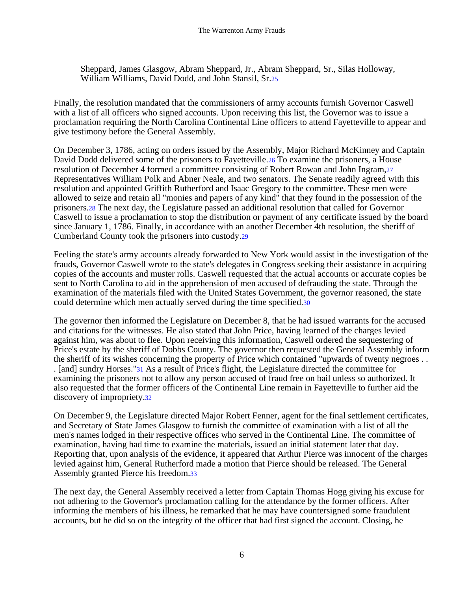Sheppard, James Glasgow, Abram Sheppard, Jr., Abram Sheppard, Sr., Silas Holloway, William Williams, David Dodd, and John Stansil, Sr.25

Finally, the resolution mandated that the commissioners of army accounts furnish Governor Caswell with a list of all officers who signed accounts. Upon receiving this list, the Governor was to issue a proclamation requiring the North Carolina Continental Line officers to attend Fayetteville to appear and give testimony before the General Assembly.

On December 3, 1786, acting on orders issued by the Assembly, Major Richard McKinney and Captain David Dodd delivered some of the prisoners to Fayetteville.26 To examine the prisoners, a House resolution of December 4 formed a committee consisting of Robert Rowan and John Ingram,27 Representatives William Polk and Abner Neale, and two senators. The Senate readily agreed with this resolution and appointed Griffith Rutherford and Isaac Gregory to the committee. These men were allowed to seize and retain all "monies and papers of any kind" that they found in the possession of the prisoners.28 The next day, the Legislature passed an additional resolution that called for Governor Caswell to issue a proclamation to stop the distribution or payment of any certificate issued by the board since January 1, 1786. Finally, in accordance with an another December 4th resolution, the sheriff of Cumberland County took the prisoners into custody.29

Feeling the state's army accounts already forwarded to New York would assist in the investigation of the frauds, Governor Caswell wrote to the state's delegates in Congress seeking their assistance in acquiring copies of the accounts and muster rolls. Caswell requested that the actual accounts or accurate copies be sent to North Carolina to aid in the apprehension of men accused of defrauding the state. Through the examination of the materials filed with the United States Government, the governor reasoned, the state could determine which men actually served during the time specified.30

The governor then informed the Legislature on December 8, that he had issued warrants for the accused and citations for the witnesses. He also stated that John Price, having learned of the charges levied against him, was about to flee. Upon receiving this information, Caswell ordered the sequestering of Price's estate by the sheriff of Dobbs County. The governor then requested the General Assembly inform the sheriff of its wishes concerning the property of Price which contained "upwards of twenty negroes . . . [and] sundry Horses."31 As a result of Price's flight, the Legislature directed the committee for examining the prisoners not to allow any person accused of fraud free on bail unless so authorized. It also requested that the former officers of the Continental Line remain in Fayetteville to further aid the discovery of impropriety.32

On December 9, the Legislature directed Major Robert Fenner, agent for the final settlement certificates, and Secretary of State James Glasgow to furnish the committee of examination with a list of all the men's names lodged in their respective offices who served in the Continental Line. The committee of examination, having had time to examine the materials, issued an initial statement later that day. Reporting that, upon analysis of the evidence, it appeared that Arthur Pierce was innocent of the charges levied against him, General Rutherford made a motion that Pierce should be released. The General Assembly granted Pierce his freedom.33

The next day, the General Assembly received a letter from Captain Thomas Hogg giving his excuse for not adhering to the Governor's proclamation calling for the attendance by the former officers. After informing the members of his illness, he remarked that he may have countersigned some fraudulent accounts, but he did so on the integrity of the officer that had first signed the account. Closing, he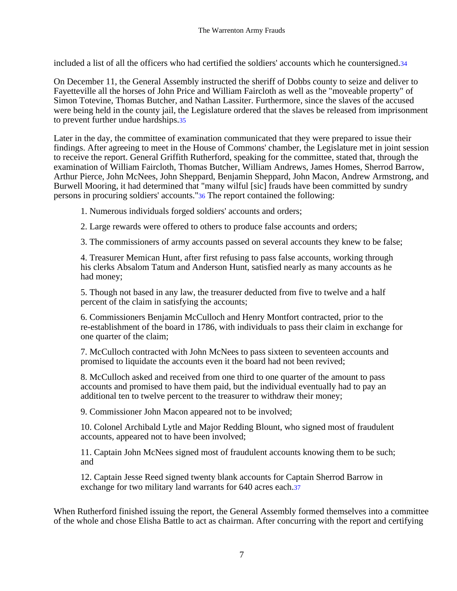included a list of all the officers who had certified the soldiers' accounts which he countersigned.34

On December 11, the General Assembly instructed the sheriff of Dobbs county to seize and deliver to Fayetteville all the horses of John Price and William Faircloth as well as the "moveable property" of Simon Totevine, Thomas Butcher, and Nathan Lassiter. Furthermore, since the slaves of the accused were being held in the county jail, the Legislature ordered that the slaves be released from imprisonment to prevent further undue hardships.35

Later in the day, the committee of examination communicated that they were prepared to issue their findings. After agreeing to meet in the House of Commons' chamber, the Legislature met in joint session to receive the report. General Griffith Rutherford, speaking for the committee, stated that, through the examination of William Faircloth, Thomas Butcher, William Andrews, James Homes, Sherrod Barrow, Arthur Pierce, John McNees, John Sheppard, Benjamin Sheppard, John Macon, Andrew Armstrong, and Burwell Mooring, it had determined that "many wilful [sic] frauds have been committed by sundry persons in procuring soldiers' accounts."36 The report contained the following:

1. Numerous individuals forged soldiers' accounts and orders;

2. Large rewards were offered to others to produce false accounts and orders;

3. The commissioners of army accounts passed on several accounts they knew to be false;

4. Treasurer Memican Hunt, after first refusing to pass false accounts, working through his clerks Absalom Tatum and Anderson Hunt, satisfied nearly as many accounts as he had money;

5. Though not based in any law, the treasurer deducted from five to twelve and a half percent of the claim in satisfying the accounts;

6. Commissioners Benjamin McCulloch and Henry Montfort contracted, prior to the re-establishment of the board in 1786, with individuals to pass their claim in exchange for one quarter of the claim;

7. McCulloch contracted with John McNees to pass sixteen to seventeen accounts and promised to liquidate the accounts even it the board had not been revived;

8. McCulloch asked and received from one third to one quarter of the amount to pass accounts and promised to have them paid, but the individual eventually had to pay an additional ten to twelve percent to the treasurer to withdraw their money;

9. Commissioner John Macon appeared not to be involved;

10. Colonel Archibald Lytle and Major Redding Blount, who signed most of fraudulent accounts, appeared not to have been involved;

11. Captain John McNees signed most of fraudulent accounts knowing them to be such; and

12. Captain Jesse Reed signed twenty blank accounts for Captain Sherrod Barrow in exchange for two military land warrants for 640 acres each.37

When Rutherford finished issuing the report, the General Assembly formed themselves into a committee of the whole and chose Elisha Battle to act as chairman. After concurring with the report and certifying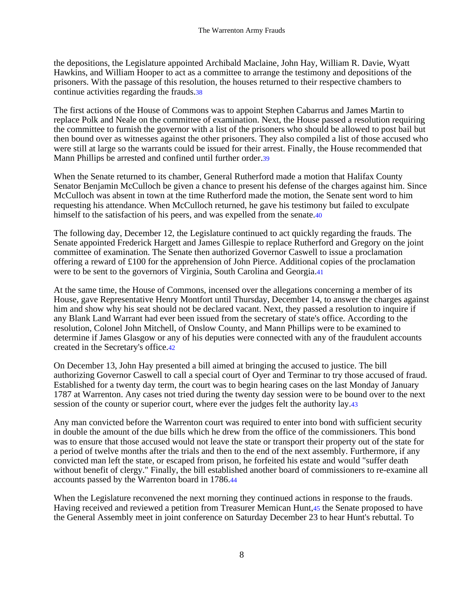the depositions, the Legislature appointed Archibald Maclaine, John Hay, William R. Davie, Wyatt Hawkins, and William Hooper to act as a committee to arrange the testimony and depositions of the prisoners. With the passage of this resolution, the houses returned to their respective chambers to continue activities regarding the frauds.38

The first actions of the House of Commons was to appoint Stephen Cabarrus and James Martin to replace Polk and Neale on the committee of examination. Next, the House passed a resolution requiring the committee to furnish the governor with a list of the prisoners who should be allowed to post bail but then bound over as witnesses against the other prisoners. They also compiled a list of those accused who were still at large so the warrants could be issued for their arrest. Finally, the House recommended that Mann Phillips be arrested and confined until further order.39

When the Senate returned to its chamber, General Rutherford made a motion that Halifax County Senator Benjamin McCulloch be given a chance to present his defense of the charges against him. Since McCulloch was absent in town at the time Rutherford made the motion, the Senate sent word to him requesting his attendance. When McCulloch returned, he gave his testimony but failed to exculpate himself to the satisfaction of his peers, and was expelled from the senate.40

The following day, December 12, the Legislature continued to act quickly regarding the frauds. The Senate appointed Frederick Hargett and James Gillespie to replace Rutherford and Gregory on the joint committee of examination. The Senate then authorized Governor Caswell to issue a proclamation offering a reward of £100 for the apprehension of John Pierce. Additional copies of the proclamation were to be sent to the governors of Virginia, South Carolina and Georgia.41

At the same time, the House of Commons, incensed over the allegations concerning a member of its House, gave Representative Henry Montfort until Thursday, December 14, to answer the charges against him and show why his seat should not be declared vacant. Next, they passed a resolution to inquire if any Blank Land Warrant had ever been issued from the secretary of state's office. According to the resolution, Colonel John Mitchell, of Onslow County, and Mann Phillips were to be examined to determine if James Glasgow or any of his deputies were connected with any of the fraudulent accounts created in the Secretary's office.42

On December 13, John Hay presented a bill aimed at bringing the accused to justice. The bill authorizing Governor Caswell to call a special court of Oyer and Terminar to try those accused of fraud. Established for a twenty day term, the court was to begin hearing cases on the last Monday of January 1787 at Warrenton. Any cases not tried during the twenty day session were to be bound over to the next session of the county or superior court, where ever the judges felt the authority lay.43

Any man convicted before the Warrenton court was required to enter into bond with sufficient security in double the amount of the due bills which he drew from the office of the commissioners. This bond was to ensure that those accused would not leave the state or transport their property out of the state for a period of twelve months after the trials and then to the end of the next assembly. Furthermore, if any convicted man left the state, or escaped from prison, he forfeited his estate and would "suffer death without benefit of clergy." Finally, the bill established another board of commissioners to re-examine all accounts passed by the Warrenton board in 1786.44

When the Legislature reconvened the next morning they continued actions in response to the frauds. Having received and reviewed a petition from Treasurer Memican Hunt,45 the Senate proposed to have the General Assembly meet in joint conference on Saturday December 23 to hear Hunt's rebuttal. To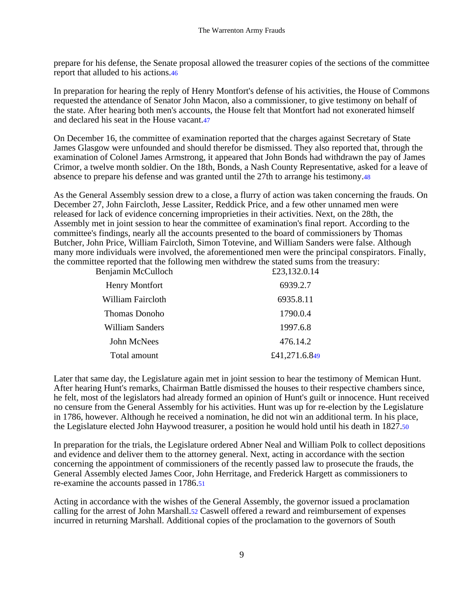prepare for his defense, the Senate proposal allowed the treasurer copies of the sections of the committee report that alluded to his actions.46

In preparation for hearing the reply of Henry Montfort's defense of his activities, the House of Commons requested the attendance of Senator John Macon, also a commissioner, to give testimony on behalf of the state. After hearing both men's accounts, the House felt that Montfort had not exonerated himself and declared his seat in the House vacant.47

On December 16, the committee of examination reported that the charges against Secretary of State James Glasgow were unfounded and should therefor be dismissed. They also reported that, through the examination of Colonel James Armstrong, it appeared that John Bonds had withdrawn the pay of James Crimor, a twelve month soldier. On the 18th, Bonds, a Nash County Representative, asked for a leave of absence to prepare his defense and was granted until the 27th to arrange his testimony.48

As the General Assembly session drew to a close, a flurry of action was taken concerning the frauds. On December 27, John Faircloth, Jesse Lassiter, Reddick Price, and a few other unnamed men were released for lack of evidence concerning improprieties in their activities. Next, on the 28th, the Assembly met in joint session to hear the committee of examination's final report. According to the committee's findings, nearly all the accounts presented to the board of commissioners by Thomas Butcher, John Price, William Faircloth, Simon Totevine, and William Sanders were false. Although many more individuals were involved, the aforementioned men were the principal conspirators. Finally, the committee reported that the following men withdrew the stated sums from the treasury:<br>E23.132.0.14<br> $\text{E23.132.0.14}$ 

| Benjamin McCulloch     | £23,132.0.14  |
|------------------------|---------------|
| <b>Henry Montfort</b>  | 6939.2.7      |
| William Faircloth      | 6935.8.11     |
| Thomas Donoho          | 1790.0.4      |
| <b>William Sanders</b> | 1997.6.8      |
| John McNees            | 476.14.2      |
| Total amount           | £41,271.6.849 |
|                        |               |

Later that same day, the Legislature again met in joint session to hear the testimony of Memican Hunt. After hearing Hunt's remarks, Chairman Battle dismissed the houses to their respective chambers since, he felt, most of the legislators had already formed an opinion of Hunt's guilt or innocence. Hunt received no censure from the General Assembly for his activities. Hunt was up for re-election by the Legislature in 1786, however. Although he received a nomination, he did not win an additional term. In his place, the Legislature elected John Haywood treasurer, a position he would hold until his death in 1827.50

In preparation for the trials, the Legislature ordered Abner Neal and William Polk to collect depositions and evidence and deliver them to the attorney general. Next, acting in accordance with the section concerning the appointment of commissioners of the recently passed law to prosecute the frauds, the General Assembly elected James Coor, John Herritage, and Frederick Hargett as commissioners to re-examine the accounts passed in 1786.51

Acting in accordance with the wishes of the General Assembly, the governor issued a proclamation calling for the arrest of John Marshall.52 Caswell offered a reward and reimbursement of expenses incurred in returning Marshall. Additional copies of the proclamation to the governors of South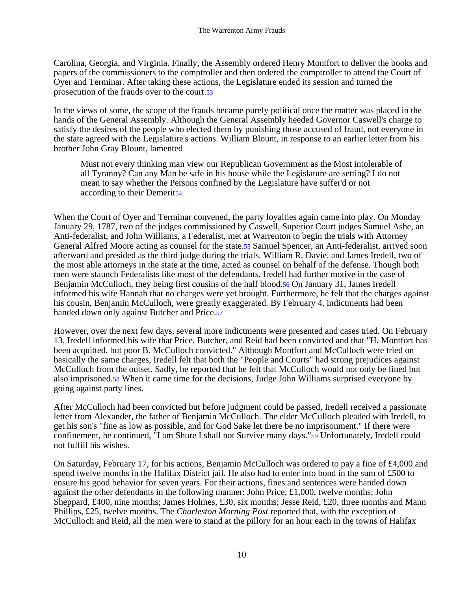Carolina, Georgia, and Virginia. Finally, the Assembly ordered Henry Montfort to deliver the books and papers of the commissioners to the comptroller and then ordered the comptroller to attend the Court of Oyer and Terminar. After taking these actions, the Legislature ended its session and turned the prosecution of the frauds over to the court.53

In the views of some, the scope of the frauds became purely political once the matter was placed in the hands of the General Assembly. Although the General Assembly heeded Governor Caswell's charge to satisfy the desires of the people who elected them by punishing those accused of fraud, not everyone in the state agreed with the Legislature's actions. William Blount, in response to an earlier letter from his brother John Gray Blount, lamented

Must not every thinking man view our Republican Government as the Most intolerable of all Tyranny? Can any Man be safe in his house while the Legislature are setting? I do not mean to say whether the Persons confined by the Legislature have suffer'd or not according to their Demerit54

When the Court of Oyer and Terminar convened, the party loyalties again came into play. On Monday January 29, 1787, two of the judges commissioned by Caswell, Superior Court judges Samuel Ashe, an Anti-federalist, and John Williams, a Federalist, met at Warrenton to begin the trials with Attorney General Alfred Moore acting as counsel for the state.55 Samuel Spencer, an Anti-federalist, arrived soon afterward and presided as the third judge during the trials. William R. Davie, and James Iredell, two of the most able attorneys in the state at the time, acted as counsel on behalf of the defense. Though both men were staunch Federalists like most of the defendants, Iredell had further motive in the case of Benjamin McCulloch, they being first cousins of the half blood.56 On January 31, James Iredell informed his wife Hannah that no charges were yet brought. Furthermore, he felt that the charges against his cousin, Benjamin McCulloch, were greatly exaggerated. By February 4, indictments had been handed down only against Butcher and Price.57

However, over the next few days, several more indictments were presented and cases tried. On February 13, Iredell informed his wife that Price, Butcher, and Reid had been convicted and that "H. Montfort has been acquitted, but poor B. McCulloch convicted." Although Montfort and McCulloch were tried on basically the same charges, Iredell felt that both the "People and Courts" had strong prejudices against McCulloch from the outset. Sadly, he reported that he felt that McCulloch would not only be fined but also imprisoned.58 When it came time for the decisions, Judge John Williams surprised everyone by going against party lines.

After McCulloch had been convicted but before judgment could be passed, Iredell received a passionate letter from Alexander, the father of Benjamin McCulloch. The elder McCulloch pleaded with Iredell, to get his son's "fine as low as possible, and for God Sake let there be no imprisonment." If there were confinement, he continued, "I am Shure I shall not Survive many days."59 Unfortunately, Iredell could not fulfill his wishes.

On Saturday, February 17, for his actions, Benjamin McCulloch was ordered to pay a fine of £4,000 and spend twelve months in the Halifax District jail. He also had to enter into bond in the sum of £500 to ensure his good behavior for seven years. For their actions, fines and sentences were handed down against the other defendants in the following manner: John Price, £1,000, twelve months; John Sheppard, £400, nine months; James Holmes, £30, six months; Jesse Reid, £20, three months and Mann Phillips, £25, twelve months. The *Charleston Morning Post* reported that, with the exception of McCulloch and Reid, all the men were to stand at the pillory for an hour each in the towns of Halifax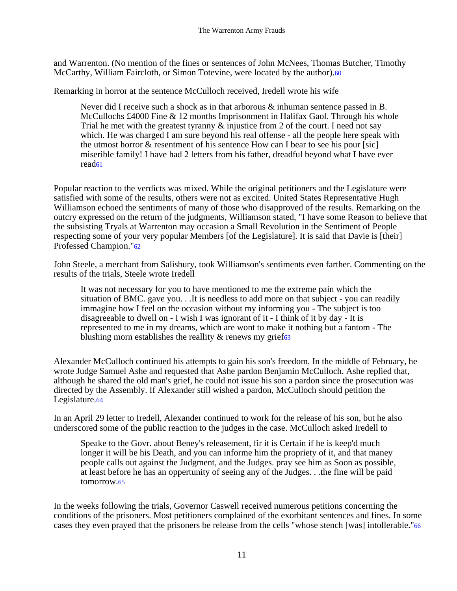and Warrenton. (No mention of the fines or sentences of John McNees, Thomas Butcher, Timothy McCarthy, William Faircloth, or Simon Totevine, were located by the author).60

Remarking in horror at the sentence McCulloch received, Iredell wrote his wife

Never did I receive such a shock as in that arborous & inhuman sentence passed in B. McCullochs £4000 Fine & 12 months Imprisonment in Halifax Gaol. Through his whole Trial he met with the greatest tyranny  $\&$  injustice from 2 of the court. I need not say which. He was charged I am sure beyond his real offense - all the people here speak with the utmost horror & resentment of his sentence How can I bear to see his pour [sic] miserible family! I have had 2 letters from his father, dreadful beyond what I have ever read61

Popular reaction to the verdicts was mixed. While the original petitioners and the Legislature were satisfied with some of the results, others were not as excited. United States Representative Hugh Williamson echoed the sentiments of many of those who disapproved of the results. Remarking on the outcry expressed on the return of the judgments, Williamson stated, "I have some Reason to believe that the subsisting Tryals at Warrenton may occasion a Small Revolution in the Sentiment of People respecting some of your very popular Members [of the Legislature]. It is said that Davie is [their] Professed Champion."62

John Steele, a merchant from Salisbury, took Williamson's sentiments even farther. Commenting on the results of the trials, Steele wrote Iredell

It was not necessary for you to have mentioned to me the extreme pain which the situation of BMC. gave you. . .It is needless to add more on that subject - you can readily immagine how I feel on the occasion without my informing you - The subject is too disagreeable to dwell on - I wish I was ignorant of it - I think of it by day - It is represented to me in my dreams, which are wont to make it nothing but a fantom - The blushing morn establishes the reallity  $\&$  renews my grief63

Alexander McCulloch continued his attempts to gain his son's freedom. In the middle of February, he wrote Judge Samuel Ashe and requested that Ashe pardon Benjamin McCulloch. Ashe replied that, although he shared the old man's grief, he could not issue his son a pardon since the prosecution was directed by the Assembly. If Alexander still wished a pardon, McCulloch should petition the Legislature.<sup>64</sup>

In an April 29 letter to Iredell, Alexander continued to work for the release of his son, but he also underscored some of the public reaction to the judges in the case. McCulloch asked Iredell to

Speake to the Govr. about Beney's releasement, fir it is Certain if he is keep'd much longer it will be his Death, and you can informe him the propriety of it, and that maney people calls out against the Judgment, and the Judges. pray see him as Soon as possible, at least before he has an oppertunity of seeing any of the Judges. . .the fine will be paid tomorrow.65

In the weeks following the trials, Governor Caswell received numerous petitions concerning the conditions of the prisoners. Most petitioners complained of the exorbitant sentences and fines. In some cases they even prayed that the prisoners be release from the cells "whose stench [was] intollerable."66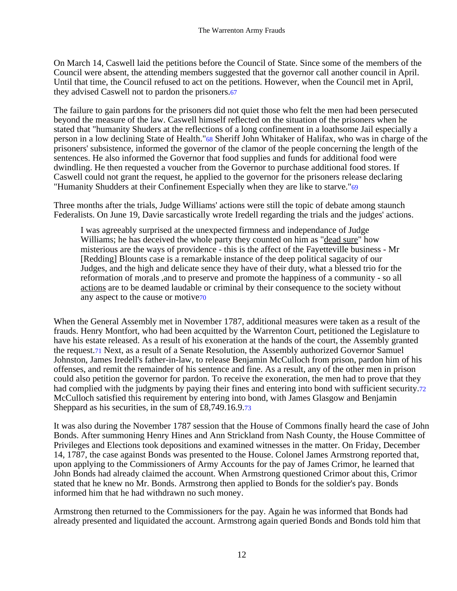On March 14, Caswell laid the petitions before the Council of State. Since some of the members of the Council were absent, the attending members suggested that the governor call another council in April. Until that time, the Council refused to act on the petitions. However, when the Council met in April, they advised Caswell not to pardon the prisoners.67

The failure to gain pardons for the prisoners did not quiet those who felt the men had been persecuted beyond the measure of the law. Caswell himself reflected on the situation of the prisoners when he stated that "humanity Shuders at the reflections of a long confinement in a loathsome Jail especially a person in a low declining State of Health."68 Sheriff John Whitaker of Halifax, who was in charge of the prisoners' subsistence, informed the governor of the clamor of the people concerning the length of the sentences. He also informed the Governor that food supplies and funds for additional food were dwindling. He then requested a voucher from the Governor to purchase additional food stores. If Caswell could not grant the request, he applied to the governor for the prisoners release declaring "Humanity Shudders at their Confinement Especially when they are like to starve."69

Three months after the trials, Judge Williams' actions were still the topic of debate among staunch Federalists. On June 19, Davie sarcastically wrote Iredell regarding the trials and the judges' actions.

I was agreeably surprised at the unexpected firmness and independance of Judge Williams; he has deceived the whole party they counted on him as "dead sure" how misterious are the ways of providence - this is the affect of the Fayetteville business - Mr [Redding] Blounts case is a remarkable instance of the deep political sagacity of our Judges, and the high and delicate sence they have of their duty, what a blessed trio for the reformation of morals ,and to preserve and promote the happiness of a community - so all actions are to be deamed laudable or criminal by their consequence to the society without any aspect to the cause or motive70

When the General Assembly met in November 1787, additional measures were taken as a result of the frauds. Henry Montfort, who had been acquitted by the Warrenton Court, petitioned the Legislature to have his estate released. As a result of his exoneration at the hands of the court, the Assembly granted the request.71 Next, as a result of a Senate Resolution, the Assembly authorized Governor Samuel Johnston, James Iredell's father-in-law, to release Benjamin McCulloch from prison, pardon him of his offenses, and remit the remainder of his sentence and fine. As a result, any of the other men in prison could also petition the governor for pardon. To receive the exoneration, the men had to prove that they had complied with the judgments by paying their fines and entering into bond with sufficient security.72 McCulloch satisfied this requirement by entering into bond, with James Glasgow and Benjamin Sheppard as his securities, in the sum of £8,749.16.9.73

It was also during the November 1787 session that the House of Commons finally heard the case of John Bonds. After summoning Henry Hines and Ann Strickland from Nash County, the House Committee of Privileges and Elections took depositions and examined witnesses in the matter. On Friday, December 14, 1787, the case against Bonds was presented to the House. Colonel James Armstrong reported that, upon applying to the Commissioners of Army Accounts for the pay of James Crimor, he learned that John Bonds had already claimed the account. When Armstrong questioned Crimor about this, Crimor stated that he knew no Mr. Bonds. Armstrong then applied to Bonds for the soldier's pay. Bonds informed him that he had withdrawn no such money.

Armstrong then returned to the Commissioners for the pay. Again he was informed that Bonds had already presented and liquidated the account. Armstrong again queried Bonds and Bonds told him that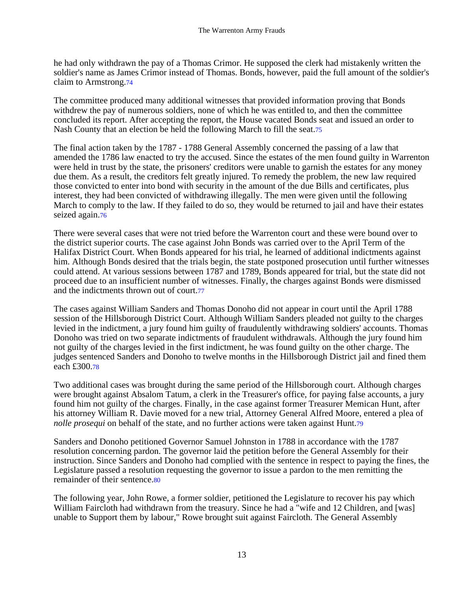he had only withdrawn the pay of a Thomas Crimor. He supposed the clerk had mistakenly written the soldier's name as James Crimor instead of Thomas. Bonds, however, paid the full amount of the soldier's claim to Armstrong.74

The committee produced many additional witnesses that provided information proving that Bonds withdrew the pay of numerous soldiers, none of which he was entitled to, and then the committee concluded its report. After accepting the report, the House vacated Bonds seat and issued an order to Nash County that an election be held the following March to fill the seat.75

The final action taken by the 1787 - 1788 General Assembly concerned the passing of a law that amended the 1786 law enacted to try the accused. Since the estates of the men found guilty in Warrenton were held in trust by the state, the prisoners' creditors were unable to garnish the estates for any money due them. As a result, the creditors felt greatly injured. To remedy the problem, the new law required those convicted to enter into bond with security in the amount of the due Bills and certificates, plus interest, they had been convicted of withdrawing illegally. The men were given until the following March to comply to the law. If they failed to do so, they would be returned to jail and have their estates seized again.<sup>76</sup>

There were several cases that were not tried before the Warrenton court and these were bound over to the district superior courts. The case against John Bonds was carried over to the April Term of the Halifax District Court. When Bonds appeared for his trial, he learned of additional indictments against him. Although Bonds desired that the trials begin, the state postponed prosecution until further witnesses could attend. At various sessions between 1787 and 1789, Bonds appeared for trial, but the state did not proceed due to an insufficient number of witnesses. Finally, the charges against Bonds were dismissed and the indictments thrown out of court.77

The cases against William Sanders and Thomas Donoho did not appear in court until the April 1788 session of the Hillsborough District Court. Although William Sanders pleaded not guilty to the charges levied in the indictment, a jury found him guilty of fraudulently withdrawing soldiers' accounts. Thomas Donoho was tried on two separate indictments of fraudulent withdrawals. Although the jury found him not guilty of the charges levied in the first indictment, he was found guilty on the other charge. The judges sentenced Sanders and Donoho to twelve months in the Hillsborough District jail and fined them each £300.78

Two additional cases was brought during the same period of the Hillsborough court. Although charges were brought against Absalom Tatum, a clerk in the Treasurer's office, for paying false accounts, a jury found him not guilty of the charges. Finally, in the case against former Treasurer Memican Hunt, after his attorney William R. Davie moved for a new trial, Attorney General Alfred Moore, entered a plea of *nolle prosequi* on behalf of the state, and no further actions were taken against Hunt.79

Sanders and Donoho petitioned Governor Samuel Johnston in 1788 in accordance with the 1787 resolution concerning pardon. The governor laid the petition before the General Assembly for their instruction. Since Sanders and Donoho had complied with the sentence in respect to paying the fines, the Legislature passed a resolution requesting the governor to issue a pardon to the men remitting the remainder of their sentence.80

The following year, John Rowe, a former soldier, petitioned the Legislature to recover his pay which William Faircloth had withdrawn from the treasury. Since he had a "wife and 12 Children, and [was] unable to Support them by labour," Rowe brought suit against Faircloth. The General Assembly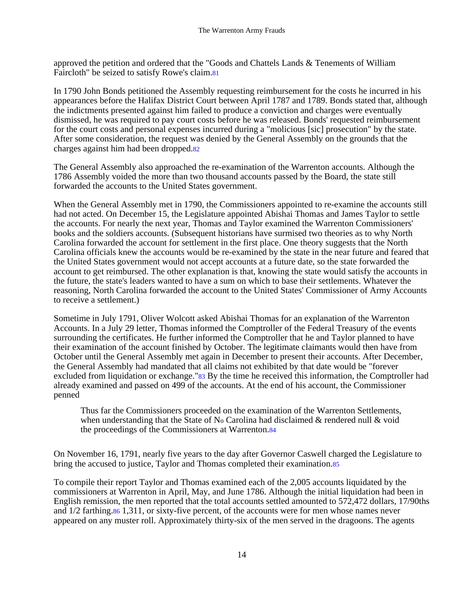approved the petition and ordered that the "Goods and Chattels Lands & Tenements of William Faircloth" be seized to satisfy Rowe's claim.81

In 1790 John Bonds petitioned the Assembly requesting reimbursement for the costs he incurred in his appearances before the Halifax District Court between April 1787 and 1789. Bonds stated that, although the indictments presented against him failed to produce a conviction and charges were eventually dismissed, he was required to pay court costs before he was released. Bonds' requested reimbursement for the court costs and personal expenses incurred during a "molicious [sic] prosecution" by the state. After some consideration, the request was denied by the General Assembly on the grounds that the charges against him had been dropped.82

The General Assembly also approached the re-examination of the Warrenton accounts. Although the 1786 Assembly voided the more than two thousand accounts passed by the Board, the state still forwarded the accounts to the United States government.

When the General Assembly met in 1790, the Commissioners appointed to re-examine the accounts still had not acted. On December 15, the Legislature appointed Abishai Thomas and James Taylor to settle the accounts. For nearly the next year, Thomas and Taylor examined the Warrenton Commissioners' books and the soldiers accounts. (Subsequent historians have surmised two theories as to why North Carolina forwarded the account for settlement in the first place. One theory suggests that the North Carolina officials knew the accounts would be re-examined by the state in the near future and feared that the United States government would not accept accounts at a future date, so the state forwarded the account to get reimbursed. The other explanation is that, knowing the state would satisfy the accounts in the future, the state's leaders wanted to have a sum on which to base their settlements. Whatever the reasoning, North Carolina forwarded the account to the United States' Commissioner of Army Accounts to receive a settlement.)

Sometime in July 1791, Oliver Wolcott asked Abishai Thomas for an explanation of the Warrenton Accounts. In a July 29 letter, Thomas informed the Comptroller of the Federal Treasury of the events surrounding the certificates. He further informed the Comptroller that he and Taylor planned to have their examination of the account finished by October. The legitimate claimants would then have from October until the General Assembly met again in December to present their accounts. After December, the General Assembly had mandated that all claims not exhibited by that date would be "forever excluded from liquidation or exchange."83 By the time he received this information, the Comptroller had already examined and passed on 499 of the accounts. At the end of his account, the Commissioner penned

Thus far the Commissioners proceeded on the examination of the Warrenton Settlements, when understanding that the State of N<sub>o</sub> Carolina had disclaimed  $\&$  rendered null  $\&$  void the proceedings of the Commissioners at Warrenton.84

On November 16, 1791, nearly five years to the day after Governor Caswell charged the Legislature to bring the accused to justice, Taylor and Thomas completed their examination.85

To compile their report Taylor and Thomas examined each of the 2,005 accounts liquidated by the commissioners at Warrenton in April, May, and June 1786. Although the initial liquidation had been in English remission, the men reported that the total accounts settled amounted to 572,472 dollars, 17/90ths and 1/2 farthing.86 1,311, or sixty-five percent, of the accounts were for men whose names never appeared on any muster roll. Approximately thirty-six of the men served in the dragoons. The agents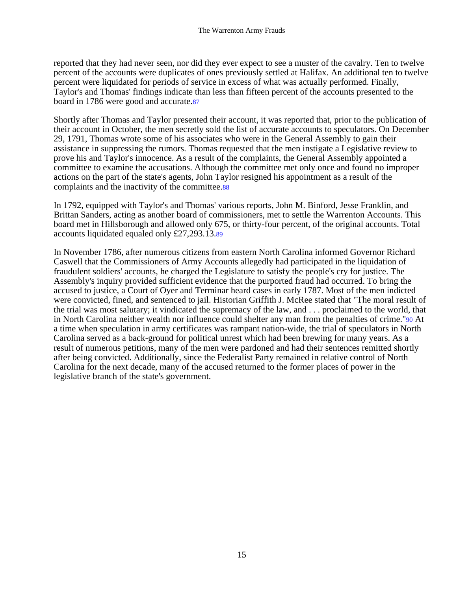reported that they had never seen, nor did they ever expect to see a muster of the cavalry. Ten to twelve percent of the accounts were duplicates of ones previously settled at Halifax. An additional ten to twelve percent were liquidated for periods of service in excess of what was actually performed. Finally, Taylor's and Thomas' findings indicate than less than fifteen percent of the accounts presented to the board in 1786 were good and accurate.87

Shortly after Thomas and Taylor presented their account, it was reported that, prior to the publication of their account in October, the men secretly sold the list of accurate accounts to speculators. On December 29, 1791, Thomas wrote some of his associates who were in the General Assembly to gain their assistance in suppressing the rumors. Thomas requested that the men instigate a Legislative review to prove his and Taylor's innocence. As a result of the complaints, the General Assembly appointed a committee to examine the accusations. Although the committee met only once and found no improper actions on the part of the state's agents, John Taylor resigned his appointment as a result of the complaints and the inactivity of the committee.88

In 1792, equipped with Taylor's and Thomas' various reports, John M. Binford, Jesse Franklin, and Brittan Sanders, acting as another board of commissioners, met to settle the Warrenton Accounts. This board met in Hillsborough and allowed only 675, or thirty-four percent, of the original accounts. Total accounts liquidated equaled only £27,293.13.89

In November 1786, after numerous citizens from eastern North Carolina informed Governor Richard Caswell that the Commissioners of Army Accounts allegedly had participated in the liquidation of fraudulent soldiers' accounts, he charged the Legislature to satisfy the people's cry for justice. The Assembly's inquiry provided sufficient evidence that the purported fraud had occurred. To bring the accused to justice, a Court of Oyer and Terminar heard cases in early 1787. Most of the men indicted were convicted, fined, and sentenced to jail. Historian Griffith J. McRee stated that "The moral result of the trial was most salutary; it vindicated the supremacy of the law, and . . . proclaimed to the world, that in North Carolina neither wealth nor influence could shelter any man from the penalties of crime."90 At a time when speculation in army certificates was rampant nation-wide, the trial of speculators in North Carolina served as a back-ground for political unrest which had been brewing for many years. As a result of numerous petitions, many of the men were pardoned and had their sentences remitted shortly after being convicted. Additionally, since the Federalist Party remained in relative control of North Carolina for the next decade, many of the accused returned to the former places of power in the legislative branch of the state's government.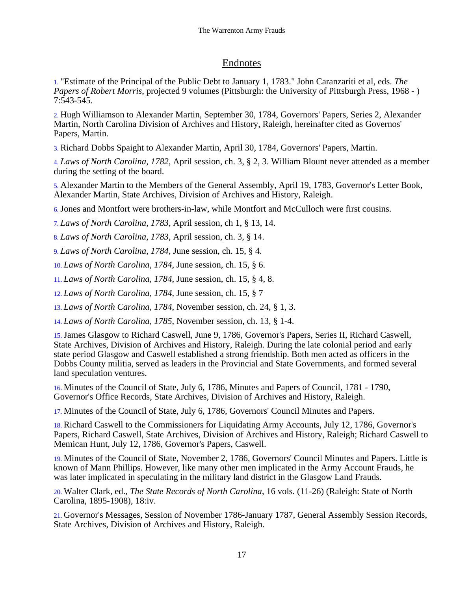## Endnotes

1. "Estimate of the Principal of the Public Debt to January 1, 1783." John Caranzariti et al, eds. *The Papers of Robert Morris*, projected 9 volumes (Pittsburgh: the University of Pittsburgh Press, 1968 - ) 7:543-545.

2. Hugh Williamson to Alexander Martin, September 30, 1784, Governors' Papers, Series 2, Alexander Martin, North Carolina Division of Archives and History, Raleigh, hereinafter cited as Governos' Papers, Martin.

3. Richard Dobbs Spaight to Alexander Martin, April 30, 1784, Governors' Papers, Martin.

4. *Laws of North Carolina, 1782*, April session, ch. 3, § 2, 3. William Blount never attended as a member during the setting of the board.

5. Alexander Martin to the Members of the General Assembly, April 19, 1783, Governor's Letter Book, Alexander Martin, State Archives, Division of Archives and History, Raleigh.

6.Jones and Montfort were brothers-in-law, while Montfort and McCulloch were first cousins.

7. *Laws of North Carolina, 1783*, April session, ch 1, § 13, 14.

8. *Laws of North Carolina, 1783*, April session, ch. 3, § 14.

9. *Laws of North Carolina, 1784*, June session, ch. 15, § 4.

10. *Laws of North Carolina, 1784*, June session, ch. 15, § 6.

11. *Laws of North Carolina, 1784*, June session, ch. 15, § 4, 8.

12. *Laws of North Carolina, 1784*, June session, ch. 15, § 7

13. *Laws of North Carolina, 1784*, November session, ch. 24, § 1, 3.

14. *Laws of North Carolina, 1785*, November session, ch. 13, § 1-4.

15.James Glasgow to Richard Caswell, June 9, 1786, Governor's Papers, Series II, Richard Caswell, State Archives, Division of Archives and History, Raleigh. During the late colonial period and early state period Glasgow and Caswell established a strong friendship. Both men acted as officers in the Dobbs County militia, served as leaders in the Provincial and State Governments, and formed several land speculation ventures.

16. Minutes of the Council of State, July 6, 1786, Minutes and Papers of Council, 1781 - 1790, Governor's Office Records, State Archives, Division of Archives and History, Raleigh.

17. Minutes of the Council of State, July 6, 1786, Governors' Council Minutes and Papers.

18. Richard Caswell to the Commissioners for Liquidating Army Accounts, July 12, 1786, Governor's Papers, Richard Caswell, State Archives, Division of Archives and History, Raleigh; Richard Caswell to Memican Hunt, July 12, 1786, Governor's Papers, Caswell.

19. Minutes of the Council of State, November 2, 1786, Governors' Council Minutes and Papers. Little is known of Mann Phillips. However, like many other men implicated in the Army Account Frauds, he was later implicated in speculating in the military land district in the Glasgow Land Frauds.

20. Walter Clark, ed., *The State Records of North Carolina*, 16 vols. (11-26) (Raleigh: State of North Carolina, 1895-1908), 18:iv.

21. Governor's Messages, Session of November 1786-January 1787, General Assembly Session Records, State Archives, Division of Archives and History, Raleigh.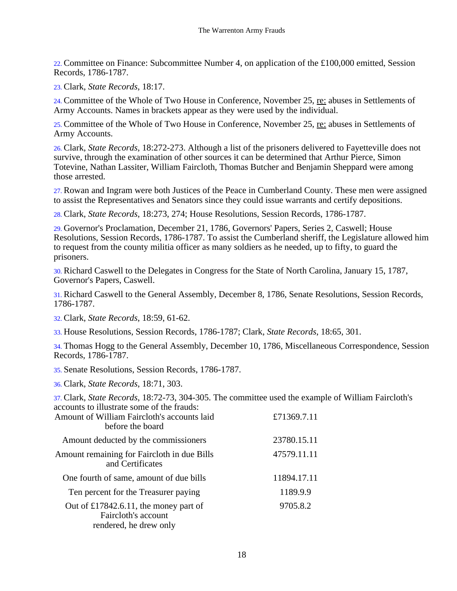22. Committee on Finance: Subcommittee Number 4, on application of the £100,000 emitted, Session Records, 1786-1787.

23. Clark, *State Records*, 18:17.

24. Committee of the Whole of Two House in Conference, November 25, re: abuses in Settlements of Army Accounts. Names in brackets appear as they were used by the individual.

25. Committee of the Whole of Two House in Conference, November 25, re: abuses in Settlements of Army Accounts.

26. Clark, *State Records*, 18:272-273. Although a list of the prisoners delivered to Fayetteville does not survive, through the examination of other sources it can be determined that Arthur Pierce, Simon Totevine, Nathan Lassiter, William Faircloth, Thomas Butcher and Benjamin Sheppard were among those arrested.

27. Rowan and Ingram were both Justices of the Peace in Cumberland County. These men were assigned to assist the Representatives and Senators since they could issue warrants and certify depositions.

28. Clark, *State Records*, 18:273, 274; House Resolutions, Session Records, 1786-1787.

29. Governor's Proclamation, December 21, 1786, Governors' Papers, Series 2, Caswell; House Resolutions, Session Records, 1786-1787. To assist the Cumberland sheriff, the Legislature allowed him to request from the county militia officer as many soldiers as he needed, up to fifty, to guard the prisoners.

30. Richard Caswell to the Delegates in Congress for the State of North Carolina, January 15, 1787, Governor's Papers, Caswell.

31. Richard Caswell to the General Assembly, December 8, 1786, Senate Resolutions, Session Records, 1786-1787.

32. Clark, *State Records*, 18:59, 61-62.

33. House Resolutions, Session Records, 1786-1787; Clark, *State Records*, 18:65, 301.

34. Thomas Hogg to the General Assembly, December 10, 1786, Miscellaneous Correspondence, Session Records, 1786-1787.

35. Senate Resolutions, Session Records, 1786-1787.

36. Clark, *State Records*, 18:71, 303.

37. Clark, *State Records*, 18:72-73, 304-305. The committee used the example of William Faircloth's accounts to illustrate some of the frauds:

| Amount of William Faircloth's accounts laid<br>before the board                        | £71369.7.11 |
|----------------------------------------------------------------------------------------|-------------|
| Amount deducted by the commissioners                                                   | 23780.15.11 |
| Amount remaining for Faircloth in due Bills<br>and Certificates                        | 47579.11.11 |
| One fourth of same, amount of due bills                                                | 11894.17.11 |
| Ten percent for the Treasurer paying                                                   | 1189.9.9    |
| Out of £17842.6.11, the money part of<br>Faircloth's account<br>rendered, he drew only | 9705.8.2    |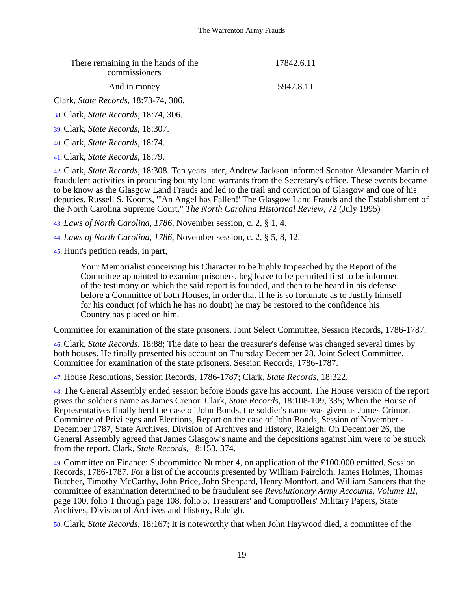| There remaining in the hands of the<br>commissioners | 17842.6.11 |
|------------------------------------------------------|------------|
| And in money                                         | 5947.8.11  |
| Clark, <i>State Records</i> , 18:73-74, 306.         |            |

38. Clark, *State Records*, 18:74, 306.

39. Clark, *State Records*, 18:307.

40. Clark, *State Records*, 18:74.

41. Clark, *State Records*, 18:79.

42. Clark, *State Records*, 18:308. Ten years later, Andrew Jackson informed Senator Alexander Martin of fraudulent activities in procuring bounty land warrants from the Secretary's office. These events became to be know as the Glasgow Land Frauds and led to the trail and conviction of Glasgow and one of his deputies. Russell S. Koonts, "'An Angel has Fallen!' The Glasgow Land Frauds and the Establishment of the North Carolina Supreme Court." *The North Carolina Historical Review*, 72 (July 1995)

43. *Laws of North Carolina, 1786*, November session, c. 2, § 1, 4.

44. *Laws of North Carolina, 1786*, November session, c. 2, § 5, 8, 12.

45. Hunt's petition reads, in part,

Your Memorialist conceiving his Character to be highly Impeached by the Report of the Committee appointed to examine prisoners, beg leave to be permited first to be informed of the testimony on which the said report is founded, and then to be heard in his defense before a Committee of both Houses, in order that if he is so fortunate as to Justify himself for his conduct (of which he has no doubt) he may be restored to the confidence his Country has placed on him.

Committee for examination of the state prisoners, Joint Select Committee, Session Records, 1786-1787.

46. Clark, *State Records*, 18:88; The date to hear the treasurer's defense was changed several times by both houses. He finally presented his account on Thursday December 28. Joint Select Committee, Committee for examination of the state prisoners, Session Records, 1786-1787.

47. House Resolutions, Session Records, 1786-1787; Clark, *State Records*, 18:322.

48. The General Assembly ended session before Bonds gave his account. The House version of the report gives the soldier's name as James Crenor. Clark, *State Records*, 18:108-109, 335; When the House of Representatives finally herd the case of John Bonds, the soldier's name was given as James Crimor. Committee of Privileges and Elections, Report on the case of John Bonds, Session of November - December 1787, State Archives, Division of Archives and History, Raleigh; On December 26, the General Assembly agreed that James Glasgow's name and the depositions against him were to be struck from the report. Clark, *State Records*, 18:153, 374.

49. Committee on Finance: Subcommittee Number 4, on application of the £100,000 emitted, Session Records, 1786-1787. For a list of the accounts presented by William Faircloth, James Holmes, Thomas Butcher, Timothy McCarthy, John Price, John Sheppard, Henry Montfort, and William Sanders that the committee of examination determined to be fraudulent see *Revolutionary Army Accounts, Volume III*, page 100, folio 1 through page 108, folio 5, Treasurers' and Comptrollers' Military Papers, State Archives, Division of Archives and History, Raleigh.

50. Clark, *State Records*, 18:167; It is noteworthy that when John Haywood died, a committee of the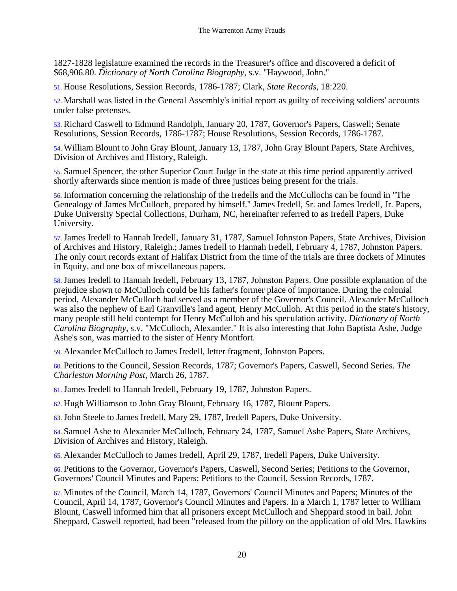1827-1828 legislature examined the records in the Treasurer's office and discovered a deficit of \$68,906.80. *Dictionary of North Carolina Biography*, s.v. "Haywood, John."

51. House Resolutions, Session Records, 1786-1787; Clark, *State Records*, 18:220.

52. Marshall was listed in the General Assembly's initial report as guilty of receiving soldiers' accounts under false pretenses.

53. Richard Caswell to Edmund Randolph, January 20, 1787, Governor's Papers, Caswell; Senate Resolutions, Session Records, 1786-1787; House Resolutions, Session Records, 1786-1787.

54. William Blount to John Gray Blount, January 13, 1787, John Gray Blount Papers, State Archives, Division of Archives and History, Raleigh.

55. Samuel Spencer, the other Superior Court Judge in the state at this time period apparently arrived shortly afterwards since mention is made of three justices being present for the trials.

56. Information concerning the relationship of the Iredells and the McCullochs can be found in "The Genealogy of James McCulloch, prepared by himself." James Iredell, Sr. and James Iredell, Jr. Papers, Duke University Special Collections, Durham, NC, hereinafter referred to as Iredell Papers, Duke University.

57.James Iredell to Hannah Iredell, January 31, 1787, Samuel Johnston Papers, State Archives, Division of Archives and History, Raleigh.; James Iredell to Hannah Iredell, February 4, 1787, Johnston Papers. The only court records extant of Halifax District from the time of the trials are three dockets of Minutes in Equity, and one box of miscellaneous papers.

58.James Iredell to Hannah Iredell, February 13, 1787, Johnston Papers. One possible explanation of the prejudice shown to McCulloch could be his father's former place of importance. During the colonial period, Alexander McCulloch had served as a member of the Governor's Council. Alexander McCulloch was also the nephew of Earl Granville's land agent, Henry McCulloh. At this period in the state's history, many people still held contempt for Henry McCulloh and his speculation activity. *Dictionary of North Carolina Biography*, s.v. "McCulloch, Alexander." It is also interesting that John Baptista Ashe, Judge Ashe's son, was married to the sister of Henry Montfort.

59. Alexander McCulloch to James Iredell, letter fragment, Johnston Papers.

60. Petitions to the Council, Session Records, 1787; Governor's Papers, Caswell, Second Series. *The Charleston Morning Post*, March 26, 1787.

61.James Iredell to Hannah Iredell, February 19, 1787, Johnston Papers.

62. Hugh Williamson to John Gray Blount, February 16, 1787, Blount Papers.

63.John Steele to James Iredell, Mary 29, 1787, Iredell Papers, Duke University.

64. Samuel Ashe to Alexander McCulloch, February 24, 1787, Samuel Ashe Papers, State Archives, Division of Archives and History, Raleigh.

65. Alexander McCulloch to James Iredell, April 29, 1787, Iredell Papers, Duke University.

66. Petitions to the Governor, Governor's Papers, Caswell, Second Series; Petitions to the Governor, Governors' Council Minutes and Papers; Petitions to the Council, Session Records, 1787.

67. Minutes of the Council, March 14, 1787, Governors' Council Minutes and Papers; Minutes of the Council, April 14, 1787, Governor's Council Minutes and Papers. In a March 1, 1787 letter to William Blount, Caswell informed him that all prisoners except McCulloch and Sheppard stood in bail. John Sheppard, Caswell reported, had been "released from the pillory on the application of old Mrs. Hawkins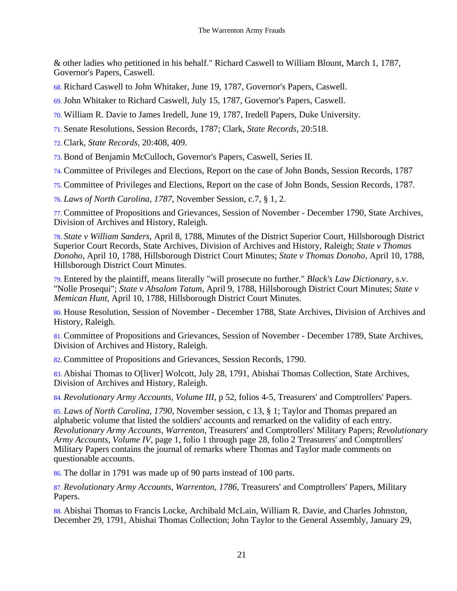& other ladies who petitioned in his behalf." Richard Caswell to William Blount, March 1, 1787, Governor's Papers, Caswell.

- 68. Richard Caswell to John Whitaker, June 19, 1787, Governor's Papers, Caswell.
- 69.John Whitaker to Richard Caswell, July 15, 1787, Governor's Papers, Caswell.
- 70. William R. Davie to James Iredell, June 19, 1787, Iredell Papers, Duke University.
- 71. Senate Resolutions, Session Records, 1787; Clark, *State Records*, 20:518.
- 72. Clark, *State Records*, 20:408, 409.
- 73. Bond of Benjamin McCulloch, Governor's Papers, Caswell, Series II.
- 74. Committee of Privileges and Elections, Report on the case of John Bonds, Session Records, 1787

75. Committee of Privileges and Elections, Report on the case of John Bonds, Session Records, 1787.

76. *Laws of North Carolina, 1787*, November Session, c.7, § 1, 2.

77. Committee of Propositions and Grievances, Session of November - December 1790, State Archives, Division of Archives and History, Raleigh.

78. *State v William Sanders*, April 8, 1788, Minutes of the District Superior Court, Hillsborough District Superior Court Records, State Archives, Division of Archives and History, Raleigh; *State v Thomas Donoho*, April 10, 1788, Hillsborough District Court Minutes; *State v Thomas Donoho*, April 10, 1788, Hillsborough District Court Minutes.

79. Entered by the plaintiff, means literally "will prosecute no further." *Black's Law Dictionary*, s.v. "Nolle Prosequi"; *State v Absalom Tatum*, April 9, 1788, Hillsborough District Court Minutes; *State v Memican Hunt*, April 10, 1788, Hillsborough District Court Minutes.

80. House Resolution, Session of November - December 1788, State Archives, Division of Archives and History, Raleigh.

81. Committee of Propositions and Grievances, Session of November - December 1789, State Archives, Division of Archives and History, Raleigh.

82. Committee of Propositions and Grievances, Session Records, 1790.

83. Abishai Thomas to O[liver] Wolcott, July 28, 1791, Abishai Thomas Collection, State Archives, Division of Archives and History, Raleigh.

84. *Revolutionary Army Accounts, Volume III*, p 52, folios 4-5, Treasurers' and Comptrollers' Papers.

85. *Laws of North Carolina, 1790*, November session, c 13, § 1; Taylor and Thomas prepared an alphabetic volume that listed the soldiers' accounts and remarked on the validity of each entry. *Revolutionary Army Accounts, Warrenton*, Treasurers' and Comptrollers' Military Papers; *Revolutionary Army Accounts, Volume IV*, page 1, folio 1 through page 28, folio 2 Treasurers' and Comptrollers' Military Papers contains the journal of remarks where Thomas and Taylor made comments on questionable accounts.

86. The dollar in 1791 was made up of 90 parts instead of 100 parts.

87. *Revolutionary Army Accounts, Warrenton, 1786*, Treasurers' and Comptrollers' Papers, Military Papers.

88. Abishai Thomas to Francis Locke, Archibald McLain, William R. Davie, and Charles Johnston, December 29, 1791, Abishai Thomas Collection; John Taylor to the General Assembly, January 29,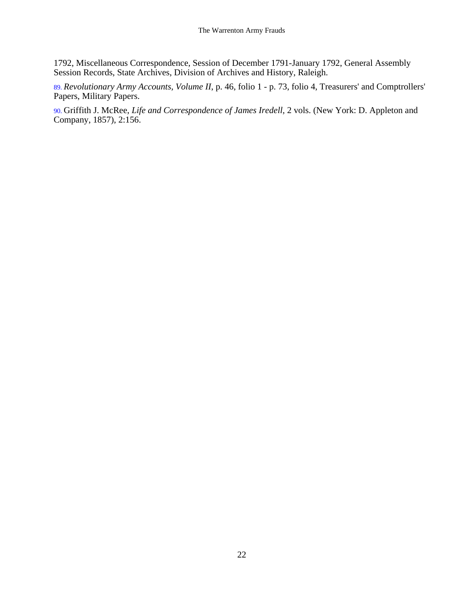1792, Miscellaneous Correspondence, Session of December 1791-January 1792, General Assembly Session Records, State Archives, Division of Archives and History, Raleigh.

89. *Revolutionary Army Accounts, Volume II*, p. 46, folio 1 - p. 73, folio 4, Treasurers' and Comptrollers' Papers, Military Papers.

90. Griffith J. McRee, *Life and Correspondence of James Iredell*, 2 vols. (New York: D. Appleton and Company, 1857), 2:156.